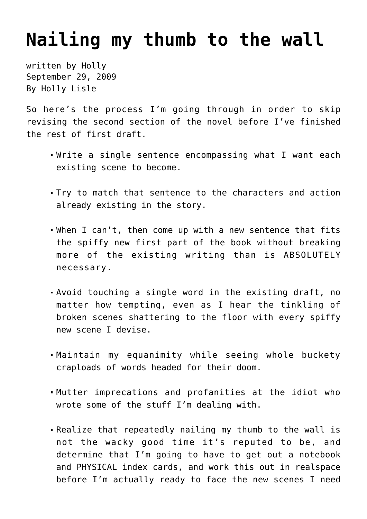## **[Nailing my thumb to the wall](https://hollylisle.com/nailing-my-thumb-to-the-wall/)**

written by Holly September 29, 2009 [By Holly Lisle](https://hollylisle.com)

So here's the process I'm going through in order to skip revising the second section of the novel before I've finished the rest of first draft.

- Write a single sentence encompassing what I want each existing scene to become.
- Try to match that sentence to the characters and action already existing in the story.
- When I can't, then come up with a new sentence that fits the spiffy new first part of the book without breaking more of the existing writing than is ABSOLUTELY necessary.
- Avoid touching a single word in the existing draft, no matter how tempting, even as I hear the tinkling of broken scenes shattering to the floor with every spiffy new scene I devise.
- Maintain my equanimity while seeing whole buckety craploads of words headed for their doom.
- Mutter imprecations and profanities at the idiot who wrote some of the stuff I'm dealing with.
- Realize that repeatedly nailing my thumb to the wall is not the wacky good time it's reputed to be, and determine that I'm going to have to get out a notebook and PHYSICAL index cards, and work this out in realspace before I'm actually ready to face the new scenes I need